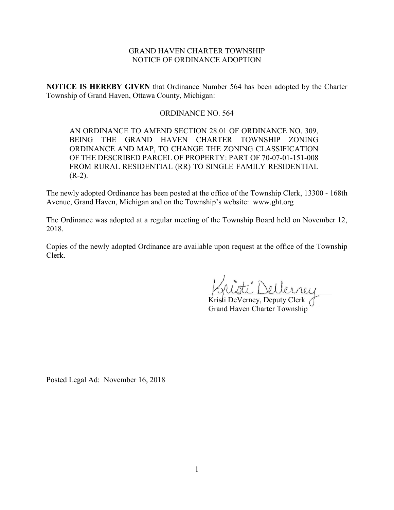# GRAND HAVEN CHARTER TOWNSHIP NOTICE OF ORDINANCE ADOPTION

**NOTICE IS HEREBY GIVEN** that Ordinance Number 564 has been adopted by the Charter Township of Grand Haven, Ottawa County, Michigan:

## ORDINANCE NO. 564

AN ORDINANCE TO AMEND SECTION 28.01 OF ORDINANCE NO. 309, BEING THE GRAND HAVEN CHARTER TOWNSHIP ZONING ORDINANCE AND MAP, TO CHANGE THE ZONING CLASSIFICATION OF THE DESCRIBED PARCEL OF PROPERTY: PART OF 70-07-01-151-008 FROM RURAL RESIDENTIAL (RR) TO SINGLE FAMILY RESIDENTIAL  $(R-2)$ .

The newly adopted Ordinance has been posted at the office of the Township Clerk, 13300 - 168th Avenue, Grand Haven, Michigan and on the Township's website: www.ght.org

The Ordinance was adopted at a regular meeting of the Township Board held on November 12, 2018.

Copies of the newly adopted Ordinance are available upon request at the office of the Township Clerk.

\_\_\_\_\_\_\_\_\_\_\_\_\_\_\_\_\_\_\_\_\_\_\_\_\_\_\_\_\_\_\_\_

Kristi DeVerney, Deputy Clerk Grand Haven Charter Township

Posted Legal Ad: November 16, 2018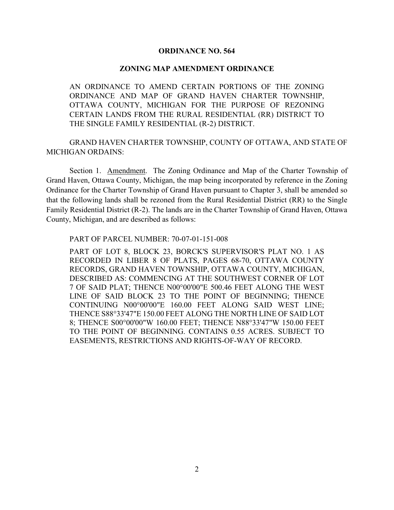### **ORDINANCE NO. 564**

#### **ZONING MAP AMENDMENT ORDINANCE**

AN ORDINANCE TO AMEND CERTAIN PORTIONS OF THE ZONING ORDINANCE AND MAP OF GRAND HAVEN CHARTER TOWNSHIP, OTTAWA COUNTY, MICHIGAN FOR THE PURPOSE OF REZONING CERTAIN LANDS FROM THE RURAL RESIDENTIAL (RR) DISTRICT TO THE SINGLE FAMILY RESIDENTIAL (R-2) DISTRICT.

GRAND HAVEN CHARTER TOWNSHIP, COUNTY OF OTTAWA, AND STATE OF MICHIGAN ORDAINS:

Section 1. Amendment. The Zoning Ordinance and Map of the Charter Township of Grand Haven, Ottawa County, Michigan, the map being incorporated by reference in the Zoning Ordinance for the Charter Township of Grand Haven pursuant to Chapter 3, shall be amended so that the following lands shall be rezoned from the Rural Residential District (RR) to the Single Family Residential District (R-2). The lands are in the Charter Township of Grand Haven, Ottawa County, Michigan, and are described as follows:

PART OF PARCEL NUMBER: 70-07-01-151-008

PART OF LOT 8, BLOCK 23, BORCK'S SUPERVISOR'S PLAT NO. 1 AS RECORDED IN LIBER 8 OF PLATS, PAGES 68-70, OTTAWA COUNTY RECORDS, GRAND HAVEN TOWNSHIP, OTTAWA COUNTY, MICHIGAN, DESCRIBED AS: COMMENCING AT THE SOUTHWEST CORNER OF LOT 7 OF SAID PLAT; THENCE N00°00'00"E 500.46 FEET ALONG THE WEST LINE OF SAID BLOCK 23 TO THE POINT OF BEGINNING; THENCE CONTINUING N00°00'00"E 160.00 FEET ALONG SAID WEST LINE; THENCE S88°33'47"E 150.00 FEET ALONG THE NORTH LINE OF SAID LOT 8; THENCE S00°00'00"W 160.00 FEET; THENCE N88°33'47"W 150.00 FEET TO THE POINT OF BEGINNING. CONTAINS 0.55 ACRES. SUBJECT TO EASEMENTS, RESTRICTIONS AND RIGHTS-OF-WAY OF RECORD.